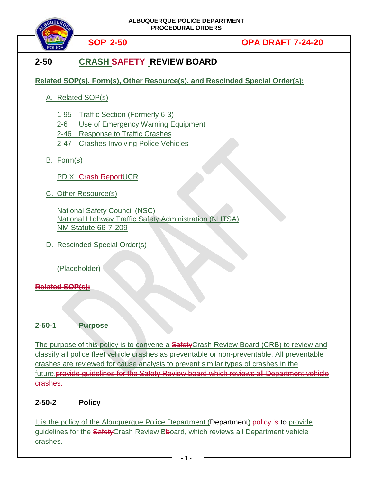

# **SOP 2-50 OPA DRAFT 7-24-20**

# **2-50 CRASH SAFETY REVIEW BOARD**

**Related SOP(s), Form(s), Other Resource(s), and Rescinded Special Order(s):**

A. Related SOP(s)

1-95 Traffic Section (Formerly 6-3)

2-6 Use of Emergency Warning Equipment

2-46 Response to Traffic Crashes

2-47 Crashes Involving Police Vehicles

B. Form(s)

PD X Grash ReportUCR

C. Other Resource(s)

National Safety Council (NSC) National Highway Traffic Safety Administration (NHTSA) NM Statute 66-7-209

D. Rescinded Special Order(s)

(Placeholder)

## **Related SOP(s):**

## **2-50-1 Purpose**

The purpose of this policy is to convene a **Safety**Crash Review Board (CRB) to review and classify all police fleet vehicle crashes as preventable or non-preventable. All preventable crashes are reviewed for cause analysis to prevent similar types of crashes in the future.provide guidelines for the Safety Review board which reviews all Department vehicle crashes.

## **2-50-2 Policy**

It is the policy of the Albuquerque Police Department (Department) policy is to provide guidelines for the Safety Crash Review Bboard, which reviews all Department vehicle crashes.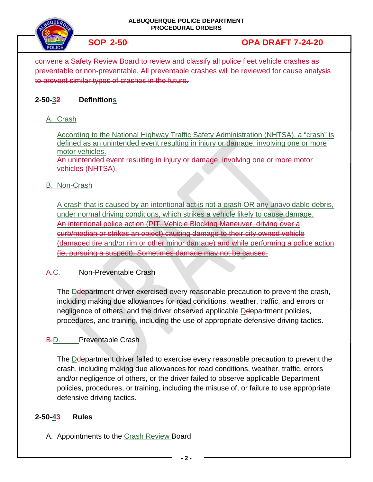

# **SOP 2-50 OPA DRAFT 7-24-20**

convene a Safety Review Board to review and classify all police fleet vehicle crashes as preventable or non-preventable. All preventable crashes will be reviewed for cause analysis to prevent similar types of crashes in the future.

## **2-50-32 Definitions**

### A. Crash

According to the National Highway Traffic Safety Administration (NHTSA), a "crash" is defined as an unintended event resulting in injury or damage, involving one or more motor vehicles.

An unintended event resulting in injury or damage, involving one or more motor vehicles (NHTSA).

#### B. Non-Crash

A crash that is caused by an intentional act is not a crash OR any unavoidable debris, under normal driving conditions, which strikes a vehicle likely to cause damage. An intentional police action (PIT, Vehicle Blocking Maneuver, driving over a curb/median or strikes an object) causing damage to their city owned vehicle (damaged tire and/or rim or other minor damage) and while performing a police action (ie, pursuing a suspect). Sometimes damage may not be caused.

### A.C. Non-Preventable Crash

The Deepartment driver exercised every reasonable precaution to prevent the crash, including making due allowances for road conditions, weather, traffic, and errors or negligence of others, and the driver observed applicable Deepartment policies, procedures, and training, including the use of appropriate defensive driving tactics.

#### **B.D.** Preventable Crash

The Deepartment driver failed to exercise every reasonable precaution to prevent the crash, including making due allowances for road conditions, weather, traffic, errors and/or negligence of others, or the driver failed to observe applicable Department policies, procedures, or training, including the misuse of, or failure to use appropriate defensive driving tactics.

#### **2-50-43 Rules**

A. Appointments to the Crash Review Board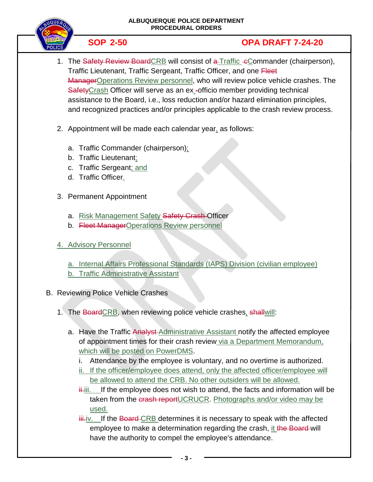#### **ALBUQUERQUE POLICE DEPARTMENT PROCEDURAL ORDERS**



# **SOP 2-50 OPA DRAFT 7-24-20**

- 1. The Safety Review Board CRB will consist of a Traffic cCommander (chairperson), Traffic Lieutenant, Traffic Sergeant, Traffic Officer, and one Fleet ManagerOperations Review personnel, who will review police vehicle crashes. The SafetyCrash Officer will serve as an ex-officio member providing technical assistance to the Board, i.e., loss reduction and/or hazard elimination principles, and recognized practices and/or principles applicable to the crash review process.
- 2. Appointment will be made each calendar year, as follows:
	- a. Traffic Commander (chairperson);
	- b. Traffic Lieutenant;
	- c. Traffic Sergeant; and
	- d. Traffic Officer.
- 3. Permanent Appointment
	- a. Risk Management Safety Safety Crash Officer
	- b. Fleet ManagerOperations Review personnel
- 4. Advisory Personnel

a. Internal Affairs Professional Standards (IAPS) Division (civilian employee) b. Traffic Administrative Assistant

## B. Reviewing Police Vehicle Crashes

- 1. The BoardCRB, when reviewing police vehicle crashes, shallwill:
	- a. Have the Traffic Analyst Administrative Assistant notify the affected employee of appointment times for their crash review via a Department Memorandum, which will be posted on PowerDMS.
		- i. Attendance by the employee is voluntary, and no overtime is authorized.
		- ii. If the officer/employee does attend, only the affected officer/employee will be allowed to attend the CRB. No other outsiders will be allowed.
		- $\ddot{\textbf{i}}$ iii. If the employee does not wish to attend, the facts and information will be taken from the crash reportUCRUCR. Photographs and/or video may be used.
		- $\frac{1}{2}$ i. If the Board-CRB determines it is necessary to speak with the affected employee to make a determination regarding the crash, it the Board will have the authority to compel the employee's attendance.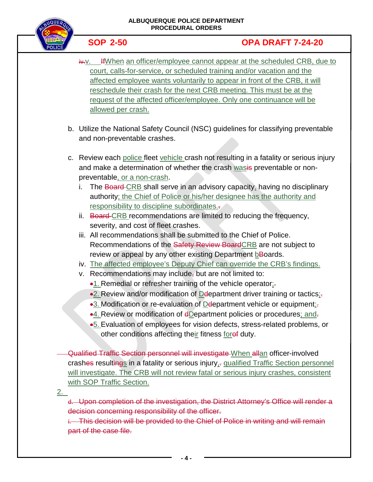

# **SOP 2-50 OPA DRAFT 7-24-20**

- i.v. If When an officer/employee cannot appear at the scheduled CRB, due to court, calls-for-service, or scheduled training and/or vacation and the affected employee wants voluntarily to appear in front of the CRB, it will reschedule their crash for the next CRB meeting. This must be at the request of the affected officer/employee. Only one continuance will be allowed per crash.
- b. Utilize the National Safety Council (NSC) guidelines for classifying preventable and non-preventable crashes.
- c. Review each police fleet vehicle crash not resulting in a fatality or serious injury and make a determination of whether the crash wasis preventable or nonpreventable, or a non-crash.
	- i. The Board CRB shall serve in an advisory capacity, having no disciplinary authority; the Chief of Police or his/her designee has the authority and responsibility to discipline subordinates..
	- ii. Board-CRB recommendations are limited to reducing the frequency, severity, and cost of fleet crashes.
	- iii. All recommendations shall be submitted to the Chief of Police. Recommendations of the Safety Review BoardCRB are not subject to review or appeal by any other existing Department bBoards.
	- iv. The affected employee's Deputy Chief can override the CRB's findings.
	- v. Recommendations may include, but are not limited to:
		- $\bullet$ 1. Remedial or refresher training of the vehicle operator; $\frac{1}{2}$ .
		- •2. Review and/or modification of Deepartment driver training or tactics:
		- •3. Modification or re-evaluation of Delepartment vehicle or equipment<sub>ir</sub>
		- •4. Review or modification of eDepartment policies or procedures; and.
		- •5. Evaluation of employees for vision defects, stress-related problems, or other conditions affecting their fitness foref duty.

Qualified Traffic Section personnel will investigate When allan officer-involved crashes resultings in a fatality or serious injury<sub>1</sub>, qualified Traffic Section personnel will investigate. The CRB will not review fatal or serious injury crashes, consistent with SOP Traffic Section.

<u>2. </u>

d. Upon completion of the investigation, the District Attorney's Office will render a decision concerning responsibility of the officer.

i. This decision will be provided to the Chief of Police in writing and will remain part of the case file.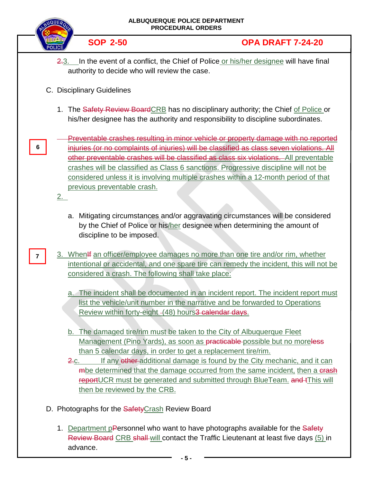| <b>ALBUQUERQUE POLICE DEPARTMENT</b><br><b>PROCEDURAL ORDERS</b>                                                                             |                                                                                                              |                                                                                                                                                                                                                                                                                                                                                                                                                                                        |
|----------------------------------------------------------------------------------------------------------------------------------------------|--------------------------------------------------------------------------------------------------------------|--------------------------------------------------------------------------------------------------------------------------------------------------------------------------------------------------------------------------------------------------------------------------------------------------------------------------------------------------------------------------------------------------------------------------------------------------------|
|                                                                                                                                              | <b>SOP 2-50</b>                                                                                              | <b>OPA DRAFT 7-24-20</b>                                                                                                                                                                                                                                                                                                                                                                                                                               |
| In the event of a conflict, the Chief of Police or his/her designee will have final<br>2.3.<br>authority to decide who will review the case. |                                                                                                              |                                                                                                                                                                                                                                                                                                                                                                                                                                                        |
| C. Disciplinary Guidelines                                                                                                                   |                                                                                                              |                                                                                                                                                                                                                                                                                                                                                                                                                                                        |
|                                                                                                                                              |                                                                                                              | 1. The Safety Review Board CRB has no disciplinary authority; the Chief of Police or<br>his/her designee has the authority and responsibility to discipline subordinates.                                                                                                                                                                                                                                                                              |
| 6<br>2.                                                                                                                                      | previous preventable crash.                                                                                  | Preventable crashes resulting in minor vehicle or property damage with no reported<br>injuries (or no complaints of injuries) will be classified as class seven violations. All<br>other preventable crashes will be classified as class six violations. All preventable<br>crashes will be classified as Class 6 sanctions. Progressive discipline will not be<br>considered unless it is involving multiple crashes within a 12-month period of that |
|                                                                                                                                              | discipline to be imposed.                                                                                    | a. Mitigating circumstances and/or aggravating circumstances will be considered<br>by the Chief of Police or his/her designee when determining the amount of                                                                                                                                                                                                                                                                                           |
|                                                                                                                                              | considered a crash. The following shall take place:                                                          | 3. When If an officer/employee damages no more than one tire and/or rim, whether<br>intentional or accidental, and one spare tire can remedy the incident, this will not be                                                                                                                                                                                                                                                                            |
|                                                                                                                                              | Review within forty-eight - (48) hours <sup>3</sup> calendar days.                                           | a. The incident shall be documented in an incident report. The incident report must<br>list the vehicle/unit number in the narrative and be forwarded to Operations                                                                                                                                                                                                                                                                                    |
|                                                                                                                                              | than 5 calendar days, in order to get a replacement tire/rim.<br><u>2.c.</u><br>then be reviewed by the CRB. | b. The damaged tire/rim must be taken to the City of Albuquerque Fleet<br>Management (Pino Yards), as soon as <b>practicable</b> possible but no moreless<br>If any other-additional damage is found by the City mechanic, and it can<br>mbe determined that the damage occurred from the same incident, then a crash<br>reportUCR must be generated and submitted through BlueTeam. and tThis will                                                    |
| D. Photographs for the <b>Safety</b> Crash Review Board                                                                                      |                                                                                                              |                                                                                                                                                                                                                                                                                                                                                                                                                                                        |
|                                                                                                                                              | advance.                                                                                                     | 1. Department pPersonnel who want to have photographs available for the Safety<br>Review Board CRB shall will contact the Traffic Lieutenant at least five days (5) in                                                                                                                                                                                                                                                                                 |